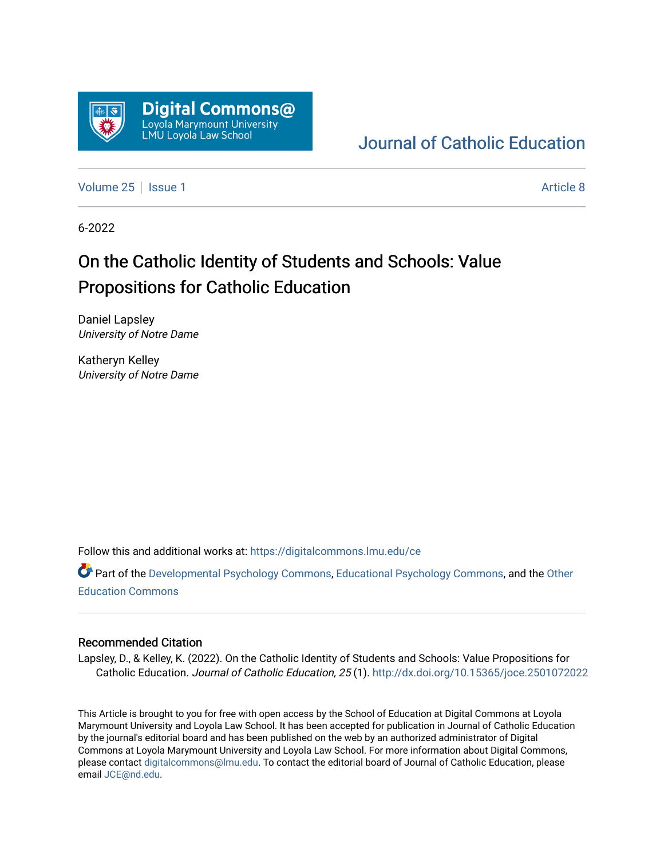

## [Journal of Catholic Education](https://digitalcommons.lmu.edu/ce)

[Volume 25](https://digitalcommons.lmu.edu/ce/vol25) | [Issue 1](https://digitalcommons.lmu.edu/ce/vol25/iss1) Article 8

6-2022

## On the Catholic Identity of Students and Schools: Value Propositions for Catholic Education

Daniel Lapsley University of Notre Dame

Katheryn Kelley University of Notre Dame

Follow this and additional works at: [https://digitalcommons.lmu.edu/ce](https://digitalcommons.lmu.edu/ce?utm_source=digitalcommons.lmu.edu%2Fce%2Fvol25%2Fiss1%2F8&utm_medium=PDF&utm_campaign=PDFCoverPages)

Part of the [Developmental Psychology Commons,](https://network.bepress.com/hgg/discipline/410?utm_source=digitalcommons.lmu.edu%2Fce%2Fvol25%2Fiss1%2F8&utm_medium=PDF&utm_campaign=PDFCoverPages) [Educational Psychology Commons](https://network.bepress.com/hgg/discipline/798?utm_source=digitalcommons.lmu.edu%2Fce%2Fvol25%2Fiss1%2F8&utm_medium=PDF&utm_campaign=PDFCoverPages), and the [Other](https://network.bepress.com/hgg/discipline/811?utm_source=digitalcommons.lmu.edu%2Fce%2Fvol25%2Fiss1%2F8&utm_medium=PDF&utm_campaign=PDFCoverPages)  [Education Commons](https://network.bepress.com/hgg/discipline/811?utm_source=digitalcommons.lmu.edu%2Fce%2Fvol25%2Fiss1%2F8&utm_medium=PDF&utm_campaign=PDFCoverPages) 

## Recommended Citation

Lapsley, D., & Kelley, K. (2022). On the Catholic Identity of Students and Schools: Value Propositions for Catholic Education. Journal of Catholic Education, 25 (1). <http://dx.doi.org/10.15365/joce.2501072022>

This Article is brought to you for free with open access by the School of Education at Digital Commons at Loyola Marymount University and Loyola Law School. It has been accepted for publication in Journal of Catholic Education by the journal's editorial board and has been published on the web by an authorized administrator of Digital Commons at Loyola Marymount University and Loyola Law School. For more information about Digital Commons, please contact [digitalcommons@lmu.edu](mailto:digitalcommons@lmu.edu). To contact the editorial board of Journal of Catholic Education, please email [JCE@nd.edu](mailto:JCE@nd.edu).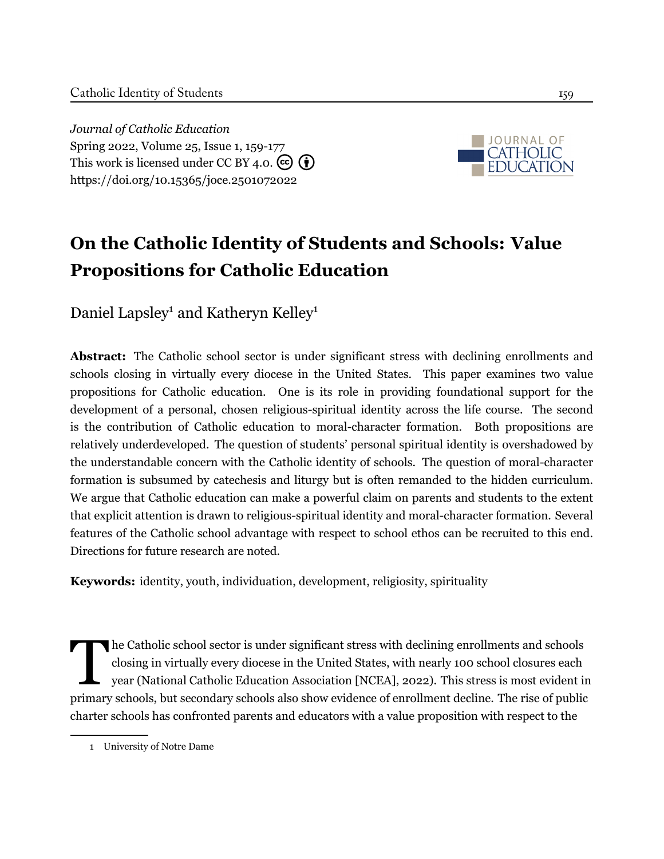*Journal of Catholic Education* Spring 2022, Volume 25, Issue 1, 159[-177](#page-19-0) This work is licensed under CC BY 4.0.  $\left(\overline{\mathbf{e}}\right)\left(\overline{\mathbf{f}}\right)$ <https://doi.org/10.15365/joce.2501072022>



# **On the Catholic Identity of Students and Schools: Value Propositions for Catholic Education**

Daniel Lapsley<sup>1</sup> and Katheryn Kelley<sup>1</sup>

**Abstract:** The Catholic school sector is under significant stress with declining enrollments and schools closing in virtually every diocese in the United States. This paper examines two value propositions for Catholic education. One is its role in providing foundational support for the development of a personal, chosen religious-spiritual identity across the life course. The second is the contribution of Catholic education to moral-character formation. Both propositions are relatively underdeveloped. The question of students' personal spiritual identity is overshadowed by the understandable concern with the Catholic identity of schools. The question of moral-character formation is subsumed by catechesis and liturgy but is often remanded to the hidden curriculum. We argue that Catholic education can make a powerful claim on parents and students to the extent that explicit attention is drawn to religious-spiritual identity and moral-character formation. Several features of the Catholic school advantage with respect to school ethos can be recruited to this end. Directions for future research are noted.

**Keywords:** identity, youth, individuation, development, religiosity, spirituality

The Catholic school sector is under significant stress with declining enrollments and schools<br>closing in virtually every diocese in the United States, with nearly 100 school closures each<br>year (National Catholic Education he Catholic school sector is under significant stress with declining enrollments and schools closing in virtually every diocese in the United States, with nearly 100 school closures each year (National Catholic Education Association [NCEA], [2022\)](#page-17-0). This stress is most evident in charter schools has confronted parents and educators with a value proposition with respect to the

<sup>1</sup> University of Notre Dame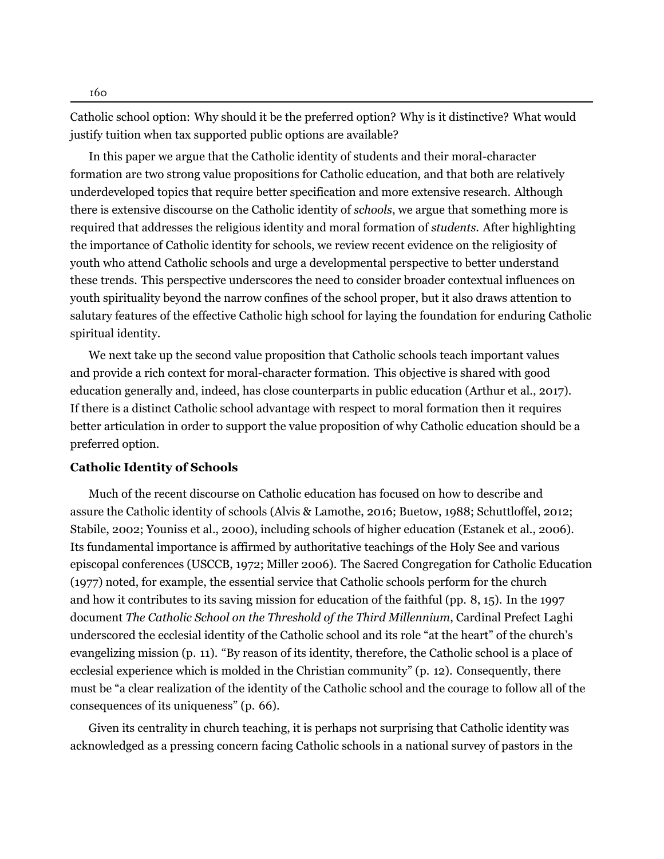Catholic school option: Why should it be the preferred option? Why is it distinctive? What would justify tuition when tax supported public options are available?

In this paper we argue that the Catholic identity of students and their moral-character formation are two strong value propositions for Catholic education, and that both are relatively underdeveloped topics that require better specification and more extensive research. Although there is extensive discourse on the Catholic identity of *schools*, we argue that something more is required that addresses the religious identity and moral formation of *students*. After highlighting the importance of Catholic identity for schools, we review recent evidence on the religiosity of youth who attend Catholic schools and urge a developmental perspective to better understand these trends. This perspective underscores the need to consider broader contextual influences on youth spirituality beyond the narrow confines of the school proper, but it also draws attention to salutary features of the effective Catholic high school for laying the foundation for enduring Catholic spiritual identity.

We next take up the second value proposition that Catholic schools teach important values and provide a rich context for moral-character formation. This objective is shared with good education generally and, indeed, has close counterparts in public education [\(Arthur](#page-14-0) et al., [2017](#page-14-0)). If there is a distinct Catholic school advantage with respect to moral formation then it requires better articulation in order to support the value proposition of why Catholic education should be a preferred option.

## **Catholic Identity of Schools**

Much of the recent discourse on Catholic education has focused on how to describe and assure the Catholic identity of schools (Alvis & [Lamothe,](#page-14-1) [2016](#page-14-1); [Buetow](#page-14-2), [1988;](#page-14-2) [Schuttloffel,](#page-18-0) [2012;](#page-18-0) [Stabile,](#page-18-1) [2002](#page-18-1); [Youniss](#page-19-1) et al., [2000\)](#page-19-1), including schools of higher education ([Estanek](#page-15-0) et al., [2006\)](#page-15-0). Its fundamental importance is affirmed by authoritative teachings of the Holy See and various episcopal conferences (USCCB, [1972](#page-19-2); Miller [2006](#page-16-0)). The Sacred Congregation for Catholic Education ([1977\)](#page-17-1) noted, for example, the essential service that Catholic schools perform for the church and how it contributes to its saving mission for education of the faithful (pp. 8, 15). In the 1997 document *The Catholic School on the Threshold of the Third Millennium*, Cardinal Prefect Laghi underscored the ecclesial identity of the Catholic school and its role "at the heart" of the church's evangelizing mission (p. 11). "By reason of its identity, therefore, the Catholic school is a place of ecclesial experience which is molded in the Christian community" (p. 12). Consequently, there must be "a clear realization of the identity of the Catholic school and the courage to follow all of the consequences of its uniqueness" (p. 66).

Given its centrality in church teaching, it is perhaps not surprising that Catholic identity was acknowledged as a pressing concern facing Catholic schools in a national survey of pastors in the

160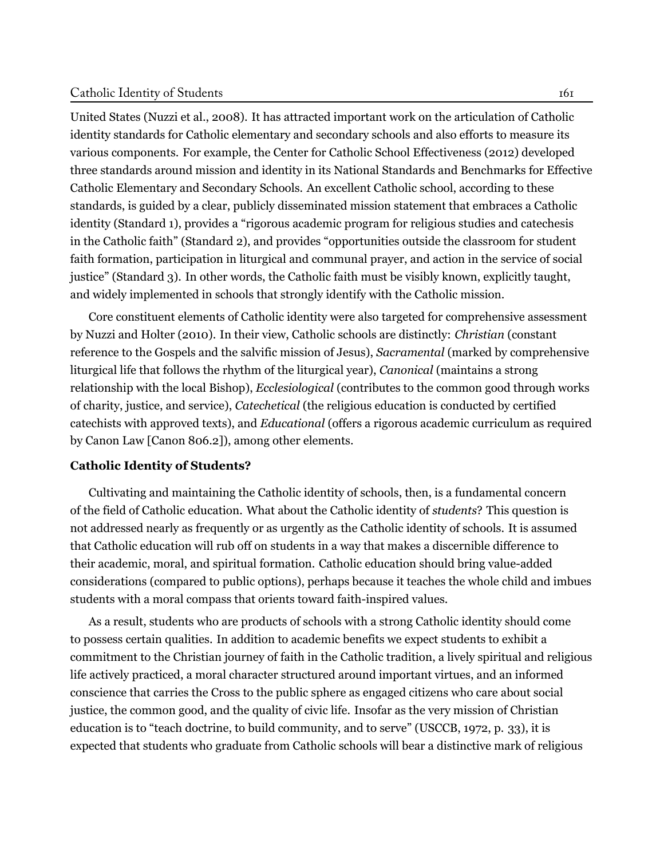United States [\(Nuzzi et al.,](#page-17-2) [2008](#page-17-2)). It has attracted important work on the articulation of Catholic identity standards for Catholic elementary and secondary schools and also efforts to measure its various components. For example, the Center for Catholic School Effectiveness ([2012](#page-14-3)) developed three standards around mission and identity in its National Standards and Benchmarks for Effective Catholic Elementary and Secondary Schools. An excellent Catholic school, according to these standards, is guided by a clear, publicly disseminated mission statement that embraces a Catholic identity (Standard 1), provides a "rigorous academic program for religious studies and catechesis in the Catholic faith" (Standard 2), and provides "opportunities outside the classroom for student faith formation, participation in liturgical and communal prayer, and action in the service of social justice" (Standard 3). In other words, the Catholic faith must be visibly known, explicitly taught, and widely implemented in schools that strongly identify with the Catholic mission.

Core constituent elements of Catholic identity were also targeted for comprehensive assessment by [Nuzzi and Holter](#page-17-3) [\(2010](#page-17-3)). In their view, Catholic schools are distinctly: *Christian* (constant reference to the Gospels and the salvific mission of Jesus), *Sacramental* (marked by comprehensive liturgical life that follows the rhythm of the liturgical year), *Canonical* (maintains a strong relationship with the local Bishop), *Ecclesiological* (contributes to the common good through works of charity, justice, and service), *Catechetical* (the religious education is conducted by certified catechists with approved texts), and *Educational* (offers a rigorous academic curriculum as required by Canon Law [Canon 806.2]), among other elements.

## **Catholic Identity of Students?**

Cultivating and maintaining the Catholic identity of schools, then, is a fundamental concern of the field of Catholic education. What about the Catholic identity of *students*? This question is not addressed nearly as frequently or as urgently as the Catholic identity of schools. It is assumed that Catholic education will rub off on students in a way that makes a discernible difference to their academic, moral, and spiritual formation. Catholic education should bring value-added considerations (compared to public options), perhaps because it teaches the whole child and imbues students with a moral compass that orients toward faith-inspired values.

As a result, students who are products of schools with a strong Catholic identity should come to possess certain qualities. In addition to academic benefits we expect students to exhibit a commitment to the Christian journey of faith in the Catholic tradition, a lively spiritual and religious life actively practiced, a moral character structured around important virtues, and an informed conscience that carries the Cross to the public sphere as engaged citizens who care about social justice, the common good, and the quality of civic life. Insofar as the very mission of Christian education is to "teach doctrine, to build community, and to serve" (USCCB, [1972](#page-19-2), p. 33), it is expected that students who graduate from Catholic schools will bear a distinctive mark of religious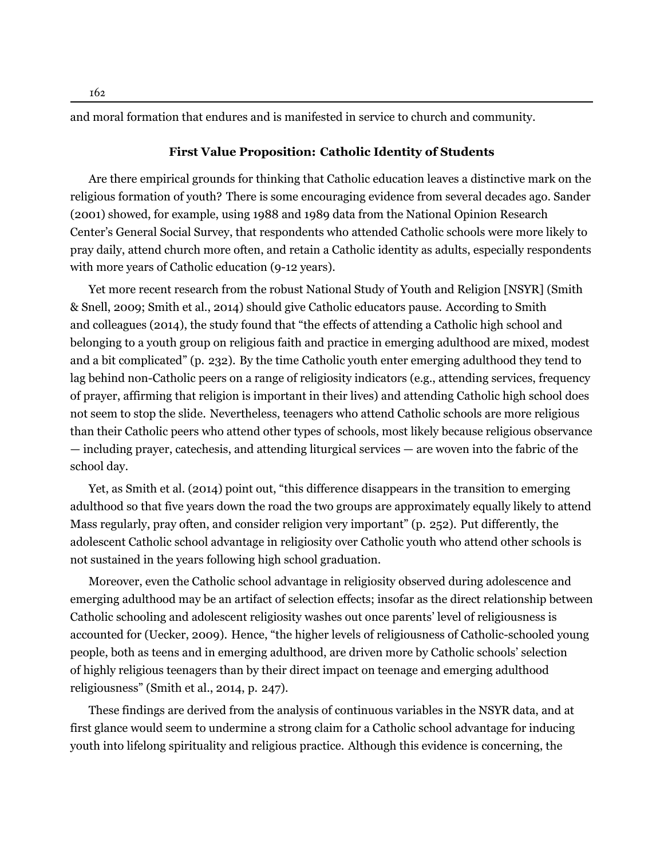and moral formation that endures and is manifested in service to church and community.

## **First Value Proposition: Catholic Identity of Students**

Are there empirical grounds for thinking that Catholic education leaves a distinctive mark on the religious formation of youth? There is some encouraging evidence from several decades ago. [Sander](#page-17-4) ([2001](#page-17-4)) showed, for example, using 1988 and 1989 data from the National Opinion Research Center's General Social Survey, that respondents who attended Catholic schools were more likely to pray daily, attend church more often, and retain a Catholic identity as adults, especially respondents with more years of Catholic education (9-12 years).

Yet more recent research from the robust National Study of Youth and Religion [NSYR] [\(Smith](#page-18-2) [& Snell](#page-18-2), [2009](#page-18-2); [Smith et al.](#page-18-3), [2014\)](#page-18-3) should give Catholic educators pause. According to Smith and colleagues [\(2014\)](#page-18-3), the study found that "the effects of attending a Catholic high school and belonging to a youth group on religious faith and practice in emerging adulthood are mixed, modest and a bit complicated" (p. 232). By the time Catholic youth enter emerging adulthood they tend to lag behind non-Catholic peers on a range of religiosity indicators (e.g., attending services, frequency of prayer, affirming that religion is important in their lives) and attending Catholic high school does not seem to stop the slide. Nevertheless, teenagers who attend Catholic schools are more religious than their Catholic peers who attend other types of schools, most likely because religious observance — including prayer, catechesis, and attending liturgical services — are woven into the fabric of the school day.

Yet, as [Smith et al.](#page-18-3) ([2014](#page-18-3)) point out, "this difference disappears in the transition to emerging adulthood so that five years down the road the two groups are approximately equally likely to attend Mass regularly, pray often, and consider religion very important" (p. 252). Put differently, the adolescent Catholic school advantage in religiosity over Catholic youth who attend other schools is not sustained in the years following high school graduation.

Moreover, even the Catholic school advantage in religiosity observed during adolescence and emerging adulthood may be an artifact of selection effects; insofar as the direct relationship between Catholic schooling and adolescent religiosity washes out once parents' level of religiousness is accounted for [\(Uecker](#page-18-4), [2009\)](#page-18-4). Hence, "the higher levels of religiousness of Catholic-schooled young people, both as teens and in emerging adulthood, are driven more by Catholic schools' selection of highly religious teenagers than by their direct impact on teenage and emerging adulthood religiousness" (Smith et al., [2014,](#page-18-3) p. 247).

These findings are derived from the analysis of continuous variables in the NSYR data, and at first glance would seem to undermine a strong claim for a Catholic school advantage for inducing youth into lifelong spirituality and religious practice. Although this evidence is concerning, the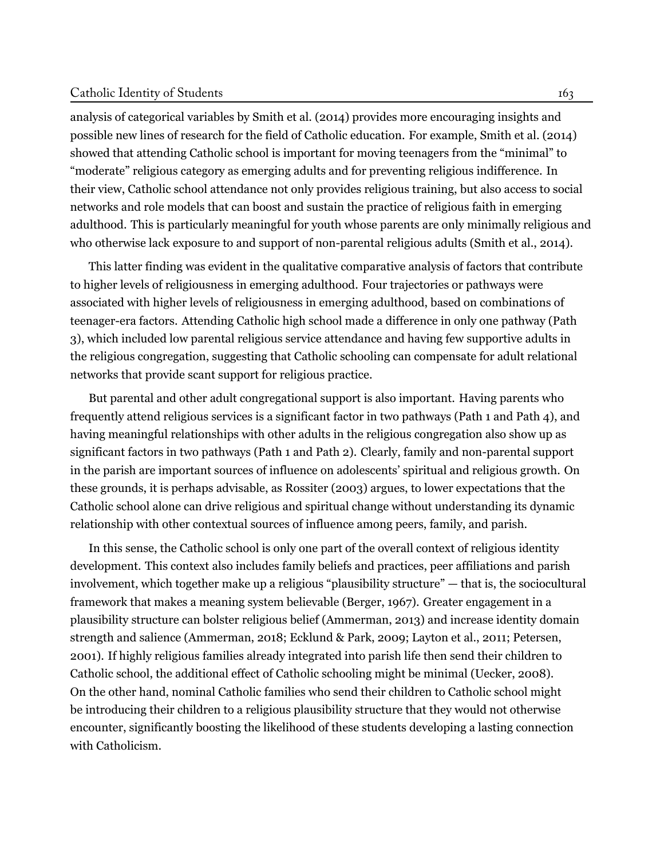#### Catholic Identity of Students 163

analysis of categorical variables by [Smith et al.](#page-18-3) ([2014](#page-18-3)) provides more encouraging insights and possible new lines of research for the field of Catholic education. For example, [Smith et al.](#page-18-3) [\(2014](#page-18-3)) showed that attending Catholic school is important for moving teenagers from the "minimal" to "moderate" religious category as emerging adults and for preventing religious indifference. In their view, Catholic school attendance not only provides religious training, but also access to social networks and role models that can boost and sustain the practice of religious faith in emerging adulthood. This is particularly meaningful for youth whose parents are only minimally religious and who otherwise lack exposure to and support of non-parental religious adults [\(Smith et al.](#page-18-3), [2014\)](#page-18-3).

This latter finding was evident in the qualitative comparative analysis of factors that contribute to higher levels of religiousness in emerging adulthood. Four trajectories or pathways were associated with higher levels of religiousness in emerging adulthood, based on combinations of teenager-era factors. Attending Catholic high school made a difference in only one pathway (Path 3), which included low parental religious service attendance and having few supportive adults in the religious congregation, suggesting that Catholic schooling can compensate for adult relational networks that provide scant support for religious practice.

But parental and other adult congregational support is also important. Having parents who frequently attend religious services is a significant factor in two pathways (Path 1 and Path 4), and having meaningful relationships with other adults in the religious congregation also show up as significant factors in two pathways (Path 1 and Path 2). Clearly, family and non-parental support in the parish are important sources of influence on adolescents' spiritual and religious growth. On these grounds, it is perhaps advisable, as [Rossiter](#page-17-5) [\(2003\)](#page-17-5) argues, to lower expectations that the Catholic school alone can drive religious and spiritual change without understanding its dynamic relationship with other contextual sources of influence among peers, family, and parish.

In this sense, the Catholic school is only one part of the overall context of religious identity development. This context also includes family beliefs and practices, peer affiliations and parish involvement, which together make up a religious "plausibility structure" — that is, the sociocultural framework that makes a meaning system believable ([Berger,](#page-14-4) [1967\)](#page-14-4). Greater engagement in a plausibility structure can bolster religious belief ([Ammerman,](#page-14-5) [2013\)](#page-14-5) and increase identity domain strength and salience ([Ammerman,](#page-14-6) [2018](#page-14-6); [Ecklund & Park,](#page-15-1) [2009;](#page-15-1) [Layton et al.](#page-16-1), [2011](#page-16-1); [Petersen](#page-17-6), [2001\)](#page-17-6). If highly religious families already integrated into parish life then send their children to Catholic school, the additional effect of Catholic schooling might be minimal [\(Uecker](#page-18-5), [2008\)](#page-18-5). On the other hand, nominal Catholic families who send their children to Catholic school might be introducing their children to a religious plausibility structure that they would not otherwise encounter, significantly boosting the likelihood of these students developing a lasting connection with Catholicism.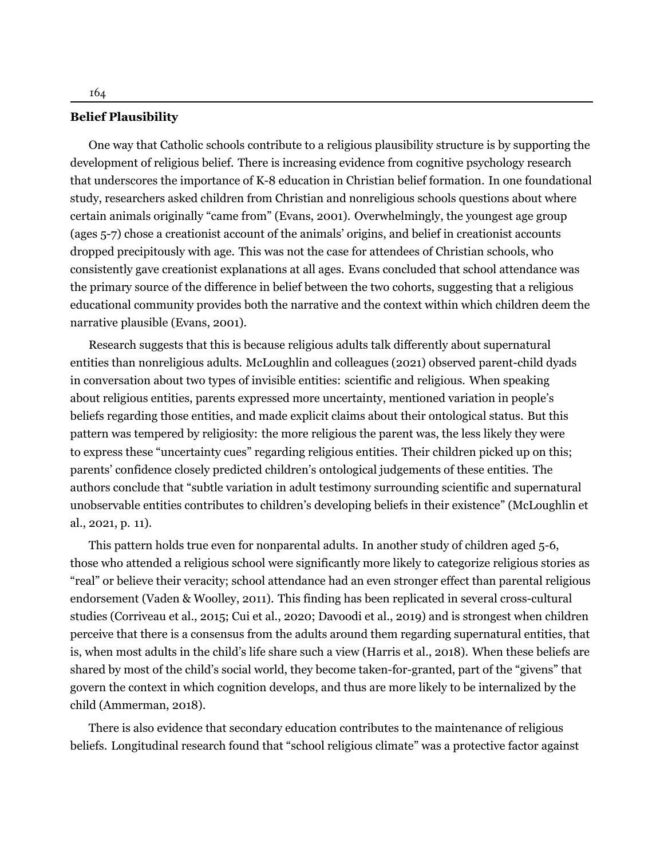## **Belief Plausibility**

One way that Catholic schools contribute to a religious plausibility structure is by supporting the development of religious belief. There is increasing evidence from cognitive psychology research that underscores the importance of K-8 education in Christian belief formation. In one foundational study, researchers asked children from Christian and nonreligious schools questions about where certain animals originally "came from" [\(Evans,](#page-15-2) [2001](#page-15-2)). Overwhelmingly, the youngest age group (ages 5-7) chose a creationist account of the animals' origins, and belief in creationist accounts dropped precipitously with age. This was not the case for attendees of Christian schools, who consistently gave creationist explanations at all ages. Evans concluded that school attendance was the primary source of the difference in belief between the two cohorts, suggesting that a religious educational community provides both the narrative and the context within which children deem the narrative plausible ([Evans,](#page-15-2) [2001\)](#page-15-2).

Research suggests that this is because religious adults talk differently about supernatural entities than nonreligious adults. McLoughlin and colleagues [\(2021\)](#page-16-2) observed parent-child dyads in conversation about two types of invisible entities: scientific and religious. When speaking about religious entities, parents expressed more uncertainty, mentioned variation in people's beliefs regarding those entities, and made explicit claims about their ontological status. But this pattern was tempered by religiosity: the more religious the parent was, the less likely they were to express these "uncertainty cues" regarding religious entities. Their children picked up on this; parents' confidence closely predicted children's ontological judgements of these entities. The authors conclude that "subtle variation in adult testimony surrounding scientific and supernatural unobservable entities contributes to children's developing beliefs in their existence" (McLoughlin et al., [2021,](#page-16-2) p. 11).

This pattern holds true even for nonparental adults. In another study of children aged 5-6, those who attended a religious school were significantly more likely to categorize religious stories as "real" or believe their veracity; school attendance had an even stronger effect than parental religious endorsement ([Vaden & Woolley,](#page-19-3) [2011\)](#page-19-3). This finding has been replicated in several cross-cultural studies ([Corriveau et al.](#page-15-3), [2015;](#page-15-3) [Cui et al.](#page-15-4), [2020](#page-15-4); [Davoodi et al.,](#page-15-5) [2019\)](#page-15-5) and is strongest when children perceive that there is a consensus from the adults around them regarding supernatural entities, that is, when most adults in the child's life share such a view [\(Harris et al.](#page-15-6), [2018\)](#page-15-6). When these beliefs are shared by most of the child's social world, they become taken-for-granted, part of the "givens" that govern the context in which cognition develops, and thus are more likely to be internalized by the child [\(Ammerman](#page-14-6), [2018\)](#page-14-6).

There is also evidence that secondary education contributes to the maintenance of religious beliefs. Longitudinal research found that "school religious climate" was a protective factor against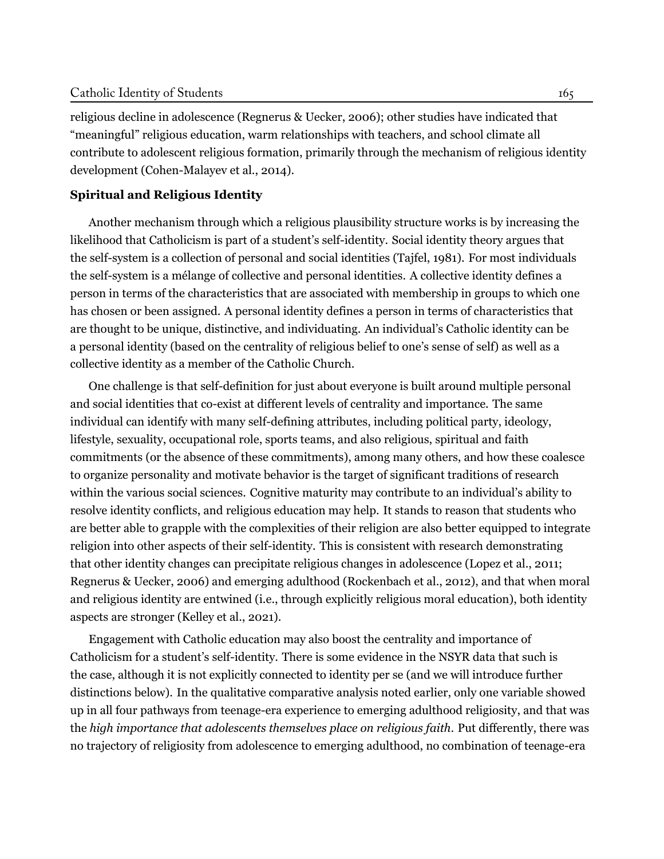religious decline in adolescence ([Regnerus & Uecker,](#page-17-7) [2006\)](#page-17-7); other studies have indicated that "meaningful" religious education, warm relationships with teachers, and school climate all contribute to adolescent religious formation, primarily through the mechanism of religious identity development [\(Cohen-Malayev et al.](#page-15-7), [2014](#page-15-7)).

## **Spiritual and Religious Identity**

Another mechanism through which a religious plausibility structure works is by increasing the likelihood that Catholicism is part of a student's self-identity. Social identity theory argues that the self-system is a collection of personal and social identities [\(Tajfel,](#page-18-6) [1981](#page-18-6)). For most individuals the self-system is a mélange of collective and personal identities. A collective identity defines a person in terms of the characteristics that are associated with membership in groups to which one has chosen or been assigned. A personal identity defines a person in terms of characteristics that are thought to be unique, distinctive, and individuating. An individual's Catholic identity can be a personal identity (based on the centrality of religious belief to one's sense of self) as well as a collective identity as a member of the Catholic Church.

One challenge is that self-definition for just about everyone is built around multiple personal and social identities that co-exist at different levels of centrality and importance. The same individual can identify with many self-defining attributes, including political party, ideology, lifestyle, sexuality, occupational role, sports teams, and also religious, spiritual and faith commitments (or the absence of these commitments), among many others, and how these coalesce to organize personality and motivate behavior is the target of significant traditions of research within the various social sciences. Cognitive maturity may contribute to an individual's ability to resolve identity conflicts, and religious education may help. It stands to reason that students who are better able to grapple with the complexities of their religion are also better equipped to integrate religion into other aspects of their self-identity. This is consistent with research demonstrating that other identity changes can precipitate religious changes in adolescence ([Lopez et al.,](#page-16-3) [2011](#page-16-3); [Regnerus & Uecker,](#page-17-7) [2006\)](#page-17-7) and emerging adulthood [\(Rockenbach et al.](#page-17-8), [2012](#page-17-8)), and that when moral and religious identity are entwined (i.e., through explicitly religious moral education), both identity aspects are stronger ([Kelley et al.](#page-16-4), [2021](#page-16-4)).

Engagement with Catholic education may also boost the centrality and importance of Catholicism for a student's self-identity. There is some evidence in the NSYR data that such is the case, although it is not explicitly connected to identity per se (and we will introduce further distinctions below). In the qualitative comparative analysis noted earlier, only one variable showed up in all four pathways from teenage-era experience to emerging adulthood religiosity, and that was the *high importance that adolescents themselves place on religious faith*. Put differently, there was no trajectory of religiosity from adolescence to emerging adulthood, no combination of teenage-era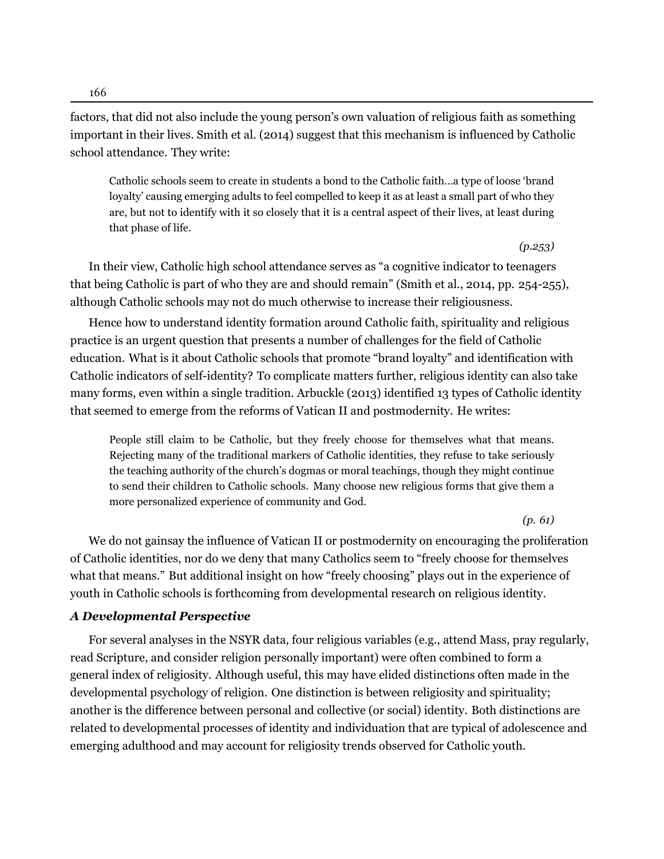166

factors, that did not also include the young person's own valuation of religious faith as something important in their lives. [Smith et al.](#page-18-3) [\(2014\)](#page-18-3) suggest that this mechanism is influenced by Catholic school attendance. They write:

Catholic schools seem to create in students a bond to the Catholic faith…a type of loose 'brand loyalty' causing emerging adults to feel compelled to keep it as at least a small part of who they are, but not to identify with it so closely that it is a central aspect of their lives, at least during that phase of life.

*(p.253)*

In their view, Catholic high school attendance serves as "a cognitive indicator to teenagers that being Catholic is part of who they are and should remain" (Smith et al., [2014,](#page-18-3) pp. 254-255), although Catholic schools may not do much otherwise to increase their religiousness.

Hence how to understand identity formation around Catholic faith, spirituality and religious practice is an urgent question that presents a number of challenges for the field of Catholic education. What is it about Catholic schools that promote "brand loyalty" and identification with Catholic indicators of self-identity? To complicate matters further, religious identity can also take many forms, even within a single tradition. [Arbuckle](#page-14-7) [\(2013\)](#page-14-7) identified 13 types of Catholic identity that seemed to emerge from the reforms of Vatican II and postmodernity. He writes:

People still claim to be Catholic, but they freely choose for themselves what that means. Rejecting many of the traditional markers of Catholic identities, they refuse to take seriously the teaching authority of the church's dogmas or moral teachings, though they might continue to send their children to Catholic schools. Many choose new religious forms that give them a more personalized experience of community and God.

*(p. 61)*

We do not gainsay the influence of Vatican II or postmodernity on encouraging the proliferation of Catholic identities, nor do we deny that many Catholics seem to "freely choose for themselves what that means." But additional insight on how "freely choosing" plays out in the experience of youth in Catholic schools is forthcoming from developmental research on religious identity.

## *A Developmental Perspective*

For several analyses in the NSYR data, four religious variables (e.g., attend Mass, pray regularly, read Scripture, and consider religion personally important) were often combined to form a general index of religiosity. Although useful, this may have elided distinctions often made in the developmental psychology of religion. One distinction is between religiosity and spirituality; another is the difference between personal and collective (or social) identity. Both distinctions are related to developmental processes of identity and individuation that are typical of adolescence and emerging adulthood and may account for religiosity trends observed for Catholic youth.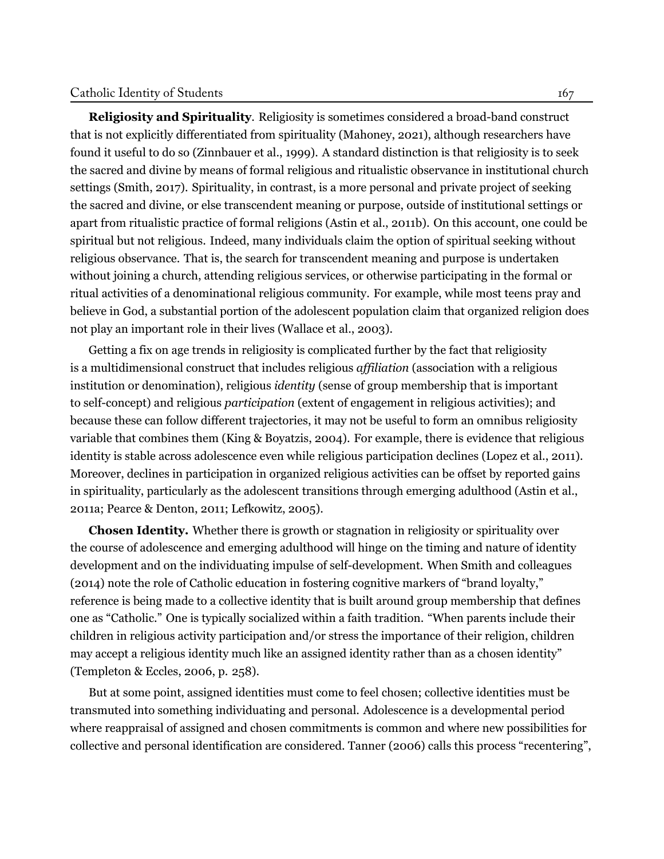**Religiosity and Spirituality**. Religiosity is sometimes considered a broad-band construct that is not explicitly differentiated from spirituality ([Mahoney](#page-16-5), [2021\)](#page-16-5), although researchers have found it useful to do so ([Zinnbauer et al., 1999\)](#page-19-4). A standard distinction is that religiosity is to seek the sacred and divine by means of formal religious and ritualistic observance in institutional church settings ([Smith, 2017\)](#page-18-7). Spirituality, in contrast, is a more personal and private project of seeking the sacred and divine, or else transcendent meaning or purpose, outside of institutional settings or apart from ritualistic practice of formal religions (Astin et al., [2011b](#page-14-8)). On this account, one could be spiritual but not religious. Indeed, many individuals claim the option of spiritual seeking without religious observance. That is, the search for transcendent meaning and purpose is undertaken without joining a church, attending religious services, or otherwise participating in the formal or ritual activities of a denominational religious community. For example, while most teens pray and believe in God, a substantial portion of the adolescent population claim that organized religion does not play an important role in their lives [\(Wallace et al.](#page-19-5), [2003](#page-19-5)).

Getting a fix on age trends in religiosity is complicated further by the fact that religiosity is a multidimensional construct that includes religious *affiliation* (association with a religious institution or denomination), religious *identity* (sense of group membership that is important to self-concept) and religious *participation* (extent of engagement in religious activities); and because these can follow different trajectories, it may not be useful to form an omnibus religiosity variable that combines them ([King & Boyatzis, 2004\)](#page-16-6). For example, there is evidence that religious identity is stable across adolescence even while religious participation declines [\(Lopez et al.](#page-16-3), [2011\)](#page-16-3). Moreover, declines in participation in organized religious activities can be offset by reported gains in spirituality, particularly as the adolescent transitions through emerging adulthood ([Astin et al.](#page-14-9), [2011a](#page-14-9); [Pearce & Denton, 2011](#page-17-9); [Lefkowitz](#page-16-7), [2005](#page-16-7)).

**Chosen Identity.** Whether there is growth or stagnation in religiosity or spirituality over the course of adolescence and emerging adulthood will hinge on the timing and nature of identity development and on the individuating impulse of self-development. When Smith and colleagues ([2014\)](#page-18-3) note the role of Catholic education in fostering cognitive markers of "brand loyalty," reference is being made to a collective identity that is built around group membership that defines one as "Catholic." One is typically socialized within a faith tradition. "When parents include their children in religious activity participation and/or stress the importance of their religion, children may accept a religious identity much like an assigned identity rather than as a chosen identity" (Templeton & Eccles, [2006,](#page-18-8) p. 258).

But at some point, assigned identities must come to feel chosen; collective identities must be transmuted into something individuating and personal. Adolescence is a developmental period where reappraisal of assigned and chosen commitments is common and where new possibilities for collective and personal identification are considered. [Tanner](#page-18-9) ([2006](#page-18-9)) calls this process "recentering",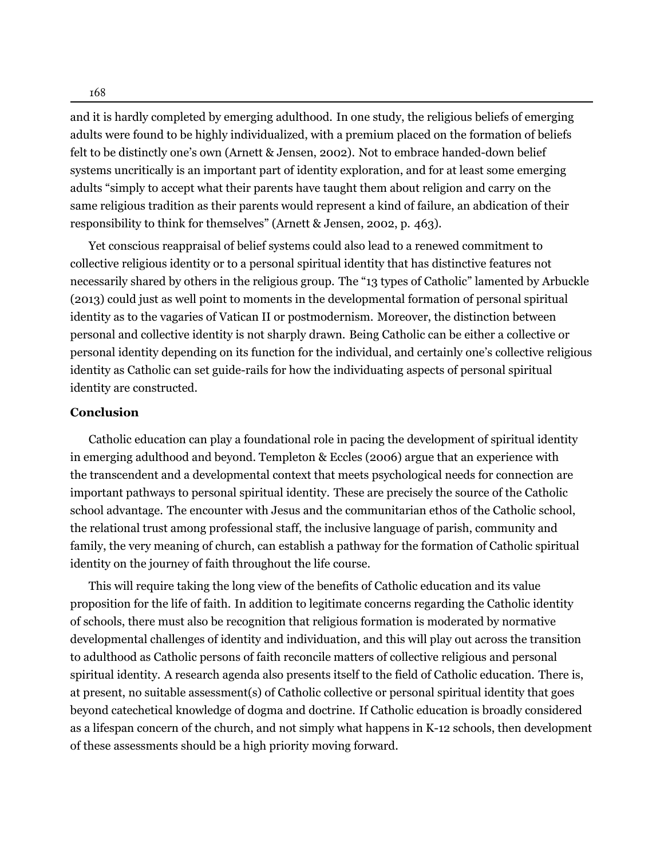and it is hardly completed by emerging adulthood. In one study, the religious beliefs of emerging adults were found to be highly individualized, with a premium placed on the formation of beliefs felt to be distinctly one's own [\(Arnett & Jensen](#page-14-10), [2002](#page-14-10)). Not to embrace handed-down belief systems uncritically is an important part of identity exploration, and for at least some emerging adults "simply to accept what their parents have taught them about religion and carry on the same religious tradition as their parents would represent a kind of failure, an abdication of their responsibility to think for themselves" (Arnett & Jensen, [2002,](#page-14-10) p. 463).

Yet conscious reappraisal of belief systems could also lead to a renewed commitment to collective religious identity or to a personal spiritual identity that has distinctive features not necessarily shared by others in the religious group. The "13 types of Catholic" lamented by [Arbuckle](#page-14-7) ([2013](#page-14-7)) could just as well point to moments in the developmental formation of personal spiritual identity as to the vagaries of Vatican II or postmodernism. Moreover, the distinction between personal and collective identity is not sharply drawn. Being Catholic can be either a collective or personal identity depending on its function for the individual, and certainly one's collective religious identity as Catholic can set guide-rails for how the individuating aspects of personal spiritual identity are constructed.

## **Conclusion**

Catholic education can play a foundational role in pacing the development of spiritual identity in emerging adulthood and beyond. [Templeton & Eccles](#page-18-8) ([2006\)](#page-18-8) argue that an experience with the transcendent and a developmental context that meets psychological needs for connection are important pathways to personal spiritual identity. These are precisely the source of the Catholic school advantage. The encounter with Jesus and the communitarian ethos of the Catholic school, the relational trust among professional staff, the inclusive language of parish, community and family, the very meaning of church, can establish a pathway for the formation of Catholic spiritual identity on the journey of faith throughout the life course.

This will require taking the long view of the benefits of Catholic education and its value proposition for the life of faith. In addition to legitimate concerns regarding the Catholic identity of schools, there must also be recognition that religious formation is moderated by normative developmental challenges of identity and individuation, and this will play out across the transition to adulthood as Catholic persons of faith reconcile matters of collective religious and personal spiritual identity. A research agenda also presents itself to the field of Catholic education. There is, at present, no suitable assessment(s) of Catholic collective or personal spiritual identity that goes beyond catechetical knowledge of dogma and doctrine. If Catholic education is broadly considered as a lifespan concern of the church, and not simply what happens in K-12 schools, then development of these assessments should be a high priority moving forward.

168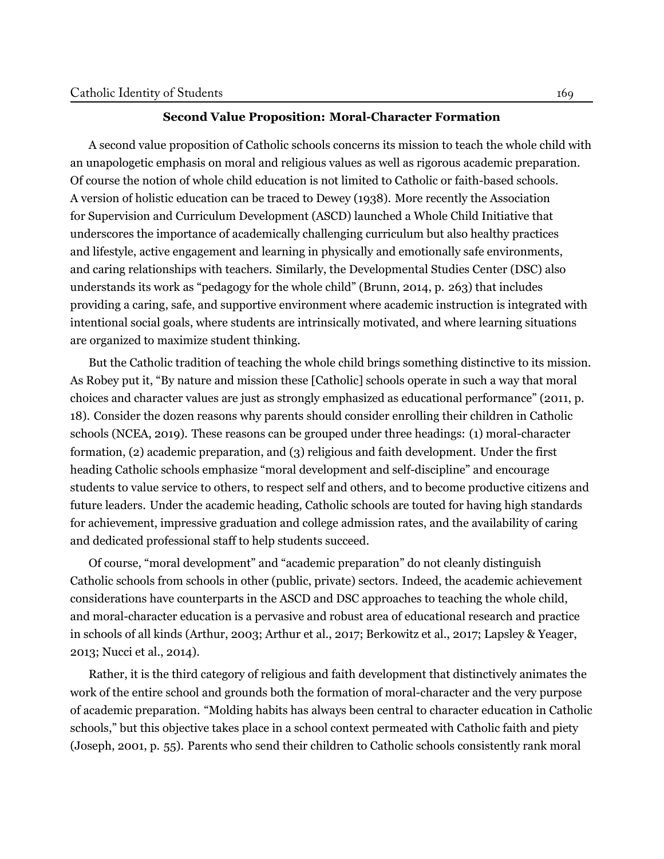#### **Second Value Proposition: Moral-Character Formation**

A second value proposition of Catholic schools concerns its mission to teach the whole child with an unapologetic emphasis on moral and religious values as well as rigorous academic preparation. Of course the notion of whole child education is not limited to Catholic or faith-based schools. A version of holistic education can be traced to Dewey [\(1938\)](#page-15-8). More recently the Association for Supervision and Curriculum Development (ASCD) launched a Whole Child Initiative that underscores the importance of academically challenging curriculum but also healthy practices and lifestyle, active engagement and learning in physically and emotionally safe environments, and caring relationships with teachers. Similarly, the Developmental Studies Center (DSC) also understands its work as "pedagogy for the whole child" (Brunn, [2014](#page-14-11), p. 263) that includes providing a caring, safe, and supportive environment where academic instruction is integrated with intentional social goals, where students are intrinsically motivated, and where learning situations are organized to maximize student thinking.

But the Catholic tradition of teaching the whole child brings something distinctive to its mission. As Robey put it, "By nature and mission these [Catholic] schools operate in such a way that moral choices and character values are just as strongly emphasized as educational performance" ([2011](#page-17-10), p. 18). Consider the dozen reasons why parents should consider enrolling their children in Catholic schools (NCEA, [2019](#page-16-8)). These reasons can be grouped under three headings: (1) moral-character formation, (2) academic preparation, and (3) religious and faith development. Under the first heading Catholic schools emphasize "moral development and self-discipline" and encourage students to value service to others, to respect self and others, and to become productive citizens and future leaders. Under the academic heading, Catholic schools are touted for having high standards for achievement, impressive graduation and college admission rates, and the availability of caring and dedicated professional staff to help students succeed.

Of course, "moral development" and "academic preparation" do not cleanly distinguish Catholic schools from schools in other (public, private) sectors. Indeed, the academic achievement considerations have counterparts in the ASCD and DSC approaches to teaching the whole child, and moral-character education is a pervasive and robust area of educational research and practice in schools of all kinds ([Arthur, 2003;](#page-14-12) [Arthur et al.](#page-14-0), [2017;](#page-14-0) [Berkowitz et al.](#page-14-13), [2017;](#page-14-13) [Lapsley & Yeager](#page-16-9), [2013](#page-16-9); [Nucci et al., 2014](#page-17-11)).

Rather, it is the third category of religious and faith development that distinctively animates the work of the entire school and grounds both the formation of moral-character and the very purpose of academic preparation. "Molding habits has always been central to character education in Catholic schools," but this objective takes place in a school context permeated with Catholic faith and piety (Joseph, [2001,](#page-16-10) p. 55). Parents who send their children to Catholic schools consistently rank moral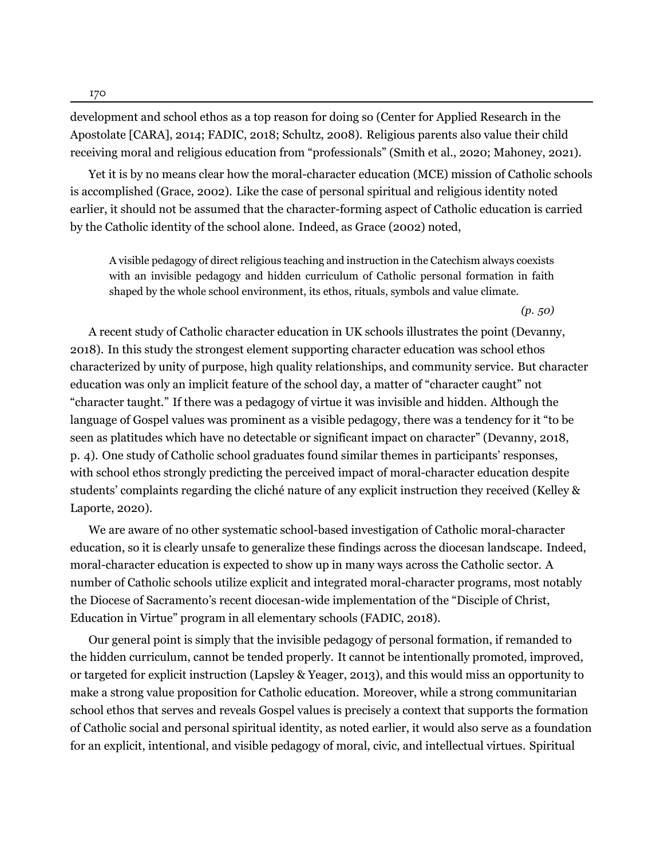170

development and school ethos as a top reason for doing so (Center for Applied Research in the Apostolate [CARA], [2014;](#page-14-14) FADIC, [2018](#page-15-9); Schultz, [2008](#page-17-12)). Religious parents also value their child receiving moral and religious education from "professionals" [\(Smith et al.](#page-18-10), [2020](#page-18-10); [Mahoney](#page-16-5), [2021](#page-16-5)).

Yet it is by no means clear how the moral-character education (MCE) mission of Catholic schools is accomplished [\(Grace](#page-15-10), [2002](#page-15-10)). Like the case of personal spiritual and religious identity noted earlier, it should not be assumed that the character-forming aspect of Catholic education is carried by the Catholic identity of the school alone. Indeed, as [Grace](#page-15-10) ([2002](#page-15-10)) noted,

A visible pedagogy of direct religious teaching and instruction in the Catechism always coexists with an invisible pedagogy and hidden curriculum of Catholic personal formation in faith shaped by the whole school environment, its ethos, rituals, symbols and value climate.

*(p. 50)*

A recent study of Catholic character education in UK schools illustrates the point ([Devanny](#page-15-11), [2018\)](#page-15-11). In this study the strongest element supporting character education was school ethos characterized by unity of purpose, high quality relationships, and community service. But character education was only an implicit feature of the school day, a matter of "character caught" not "character taught." If there was a pedagogy of virtue it was invisible and hidden. Although the language of Gospel values was prominent as a visible pedagogy, there was a tendency for it "to be seen as platitudes which have no detectable or significant impact on character" (Devanny, [2018,](#page-15-11) p. 4). One study of Catholic school graduates found similar themes in participants' responses, with school ethos strongly predicting the perceived impact of moral-character education despite students' complaints regarding the cliché nature of any explicit instruction they received [\(Kelley &](#page-16-11) [Laporte, 2020\)](#page-16-11).

We are aware of no other systematic school-based investigation of Catholic moral-character education, so it is clearly unsafe to generalize these findings across the diocesan landscape. Indeed, moral-character education is expected to show up in many ways across the Catholic sector. A number of Catholic schools utilize explicit and integrated moral-character programs, most notably the Diocese of Sacramento's recent diocesan-wide implementation of the "Disciple of Christ, Education in Virtue" program in all elementary schools (FADIC, [2018](#page-15-9)).

Our general point is simply that the invisible pedagogy of personal formation, if remanded to the hidden curriculum, cannot be tended properly. It cannot be intentionally promoted, improved, or targeted for explicit instruction ([Lapsley & Yeager](#page-16-9), [2013](#page-16-9)), and this would miss an opportunity to make a strong value proposition for Catholic education. Moreover, while a strong communitarian school ethos that serves and reveals Gospel values is precisely a context that supports the formation of Catholic social and personal spiritual identity, as noted earlier, it would also serve as a foundation for an explicit, intentional, and visible pedagogy of moral, civic, and intellectual virtues. Spiritual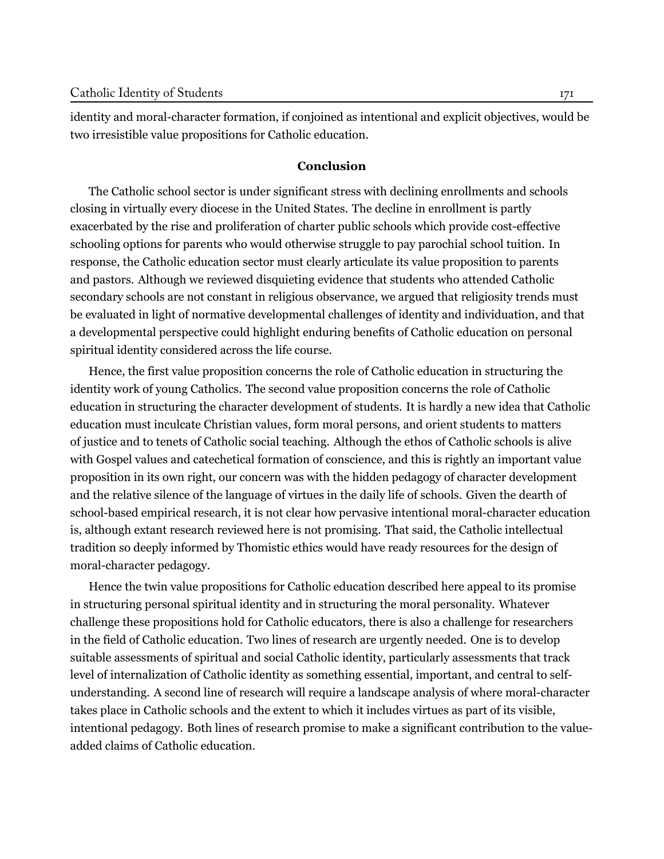identity and moral-character formation, if conjoined as intentional and explicit objectives, would be two irresistible value propositions for Catholic education.

## **Conclusion**

The Catholic school sector is under significant stress with declining enrollments and schools closing in virtually every diocese in the United States. The decline in enrollment is partly exacerbated by the rise and proliferation of charter public schools which provide cost-effective schooling options for parents who would otherwise struggle to pay parochial school tuition. In response, the Catholic education sector must clearly articulate its value proposition to parents and pastors. Although we reviewed disquieting evidence that students who attended Catholic secondary schools are not constant in religious observance, we argued that religiosity trends must be evaluated in light of normative developmental challenges of identity and individuation, and that a developmental perspective could highlight enduring benefits of Catholic education on personal spiritual identity considered across the life course.

Hence, the first value proposition concerns the role of Catholic education in structuring the identity work of young Catholics. The second value proposition concerns the role of Catholic education in structuring the character development of students. It is hardly a new idea that Catholic education must inculcate Christian values, form moral persons, and orient students to matters of justice and to tenets of Catholic social teaching. Although the ethos of Catholic schools is alive with Gospel values and catechetical formation of conscience, and this is rightly an important value proposition in its own right, our concern was with the hidden pedagogy of character development and the relative silence of the language of virtues in the daily life of schools. Given the dearth of school-based empirical research, it is not clear how pervasive intentional moral-character education is, although extant research reviewed here is not promising. That said, the Catholic intellectual tradition so deeply informed by Thomistic ethics would have ready resources for the design of moral-character pedagogy.

Hence the twin value propositions for Catholic education described here appeal to its promise in structuring personal spiritual identity and in structuring the moral personality. Whatever challenge these propositions hold for Catholic educators, there is also a challenge for researchers in the field of Catholic education. Two lines of research are urgently needed. One is to develop suitable assessments of spiritual and social Catholic identity, particularly assessments that track level of internalization of Catholic identity as something essential, important, and central to selfunderstanding. A second line of research will require a landscape analysis of where moral-character takes place in Catholic schools and the extent to which it includes virtues as part of its visible, intentional pedagogy. Both lines of research promise to make a significant contribution to the valueadded claims of Catholic education.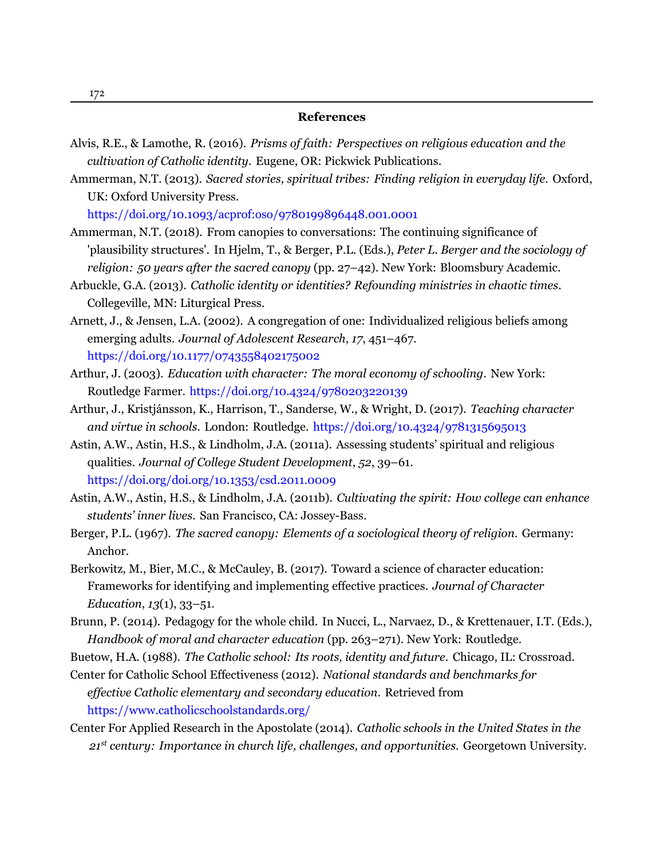#### **References**

- <span id="page-14-1"></span>Alvis, R.E., & Lamothe, R. (2016). *Prisms of faith: Perspectives on religious education and the cultivation of Catholic identity*. Eugene, OR: Pickwick Publications.
- <span id="page-14-5"></span>Ammerman, N.T. (2013). *Sacred stories, spiritual tribes: Finding religion in everyday life.* Oxford, UK: Oxford University Press.

https://doi.org/1[0.1093/acprof:oso/9780199896448.001.0001](https://doi.org/doi.org/10.1093/acprof:oso/9780199896448.001.0001)

- <span id="page-14-6"></span>Ammerman, N.T. (2018). From canopies to conversations: The continuing significance of 'plausibility structures'. In Hjelm, T., & Berger, P.L. (Eds.), *Peter L. Berger and the sociology of religion: 50 years after the sacred canopy* (pp. 27–42). New York: Bloomsbury Academic.
- <span id="page-14-7"></span>Arbuckle, G.A. (2013). *Catholic identity or identities? Refounding ministries in chaotic times*. Collegeville, MN: Liturgical Press.
- <span id="page-14-10"></span>Arnett, J., & Jensen, L.A. (2002). A congregation of one: Individualized religious beliefs among emerging adults. *Journal of Adolescent Research*, *17*, 451–467. [https://doi.org/10.1177/0743558402175002](https://doi.org/doi.org/10.1177/0743558402175002)
- <span id="page-14-12"></span>Arthur, J. (2003). *Education with character: The moral economy of schooling*. New York: Routledge Farmer. [https://doi.org/10.4324/9780203220139](https://doi.org/doi.org/10.4324/9780203220139)
- <span id="page-14-0"></span>Arthur, J., Kristjánsson, K., Harrison, T., Sanderse, W., & Wright, D. (2017). *Teaching character and virtue in schools*. London: Routledge. [https://doi.org/10.4324/9781315695013](https://doi.org/doi.org/10.4324/9781315695013)
- <span id="page-14-9"></span>Astin, A.W., Astin, H.S., & Lindholm, J.A. (2011a). Assessing students' spiritual and religious qualities. *Journal of College Student Development*, *52*, 39–61. <https://doi.org/doi.org/10.1353/csd.2011.0009>
- <span id="page-14-8"></span>Astin, A.W., Astin, H.S., & Lindholm, J.A. (2011b). *Cultivating the spirit: How college can enhance students' inner lives*. San Francisco, CA: Jossey-Bass.
- <span id="page-14-4"></span>Berger, P.L. (1967). *The sacred canopy: Elements of a sociological theory of religion*. Germany: Anchor.
- <span id="page-14-13"></span>Berkowitz, M., Bier, M.C., & McCauley, B. (2017). Toward a science of character education: Frameworks for identifying and implementing effective practices. *Journal of Character Education*, *13*(1), 33–51.
- <span id="page-14-11"></span>Brunn, P. (2014). Pedagogy for the whole child. In Nucci, L., Narvaez, D., & Krettenauer, I.T. (Eds.), *Handbook of moral and character education* (pp. 263–271). New York: Routledge.
- <span id="page-14-2"></span>Buetow, H.A. (1988). *The Catholic school: Its roots, identity and future*. Chicago, IL: Crossroad.
- <span id="page-14-3"></span>Center for Catholic School Effectiveness (2012). *National standards and benchmarks for effective Catholic elementary and secondary education*. [Retrieved](https://www.catholicschoolstandards.org/) from <https://www.catholicschoolstandards.org/>
- <span id="page-14-14"></span>Center For Applied Research in the Apostolate (2014). *Catholic schools in the United States in the 21st century: Importance in church life, challenges, and opportunities*. Georgetown University.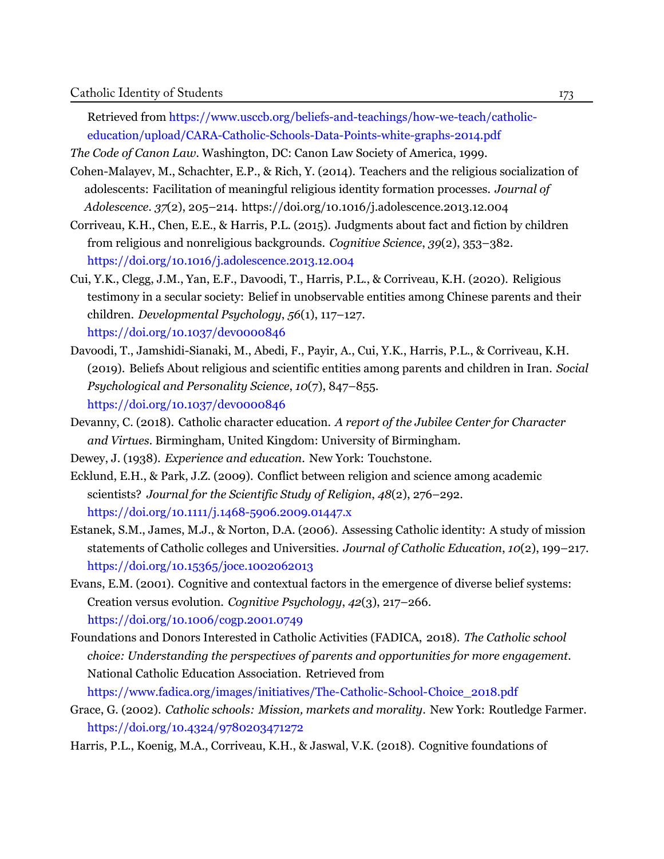Retrieved from [https://www.usccb.org/beliefs-and-teachings/how-we-teach/catholic](https://www.usccb.org/beliefs-and-teachings/how-we-teach/catholic-education/upload/CARA-Catholic-Schools-Data-Points-white-graphs-2014.pdf)[education/upload/CARA-Catholic-Schools-Data-Points-white-graphs-2014.pdf](https://www.usccb.org/beliefs-and-teachings/how-we-teach/catholic-education/upload/CARA-Catholic-Schools-Data-Points-white-graphs-2014.pdf)

*The Code of Canon Law.* Washington, DC: Canon Law Society of America, 1999.

- <span id="page-15-7"></span>Cohen-Malayev, M., Schachter, E.P., & Rich, Y. (2014). Teachers and the religious socialization of adolescents: Facilitation of meaningful religious identity formation processes. *Journal of Adolescence*. *37*(2), 205–214. [https://doi.org/10.1016/j.adolescence.2013.12.004](https://doi.org/doi.org/10.1016/j.adolescence.2013.12.004)
- <span id="page-15-3"></span>Corriveau, K.H., Chen, E.E., & Harris, P.L. (2015). Judgments about fact and fiction by children from religious and nonreligious backgrounds. *Cognitive Science*, *39*(2), 353–382. [https://doi.org/10.1016/j.adolescence.2013.12.004](https://doi.org/doi.org/10.1016/j.adolescence.2013.12.004)
- <span id="page-15-4"></span>Cui, Y.K., Clegg, J.M., Yan, E.F., Davoodi, T., Harris, P.L., & Corriveau, K.H. (2020). Religious testimony in a secular society: Belief in unobservable entities among Chinese parents and their children. *Developmental Psychology*, *56*(1), 117–127. [https://doi.org/10.1037/dev0000846](https://doi.org/doi.org/10.1037/dev0000846)
- <span id="page-15-5"></span>Davoodi, T., Jamshidi-Sianaki, M., Abedi, F., Payir, A., Cui, Y.K., Harris, P.L., & Corriveau, K.H. (2019). Beliefs About religious and scientific entities among parents and children in Iran. *Social Psychological and Personality Science*, *10*(7), 847–855. [https://doi.org/10.1037/dev0000846](https://doi.org/doi.org/10.1037/dev0000846)
- <span id="page-15-11"></span>Devanny, C. (2018). Catholic character education. *A report of the Jubilee Center for Character and Virtues.* Birmingham, United Kingdom: University of Birmingham.

<span id="page-15-8"></span>Dewey, J. (1938). *Experience and education*. New York: Touchstone.

- <span id="page-15-1"></span>Ecklund, E.H., & Park, J.Z. (2009). Conflict between religion and science among academic scientists? *Journal for the Scientific Study of Religion*, *48*(2), 276–292. [https://doi.org/10.1111/j.1468-5906.2009.01447.x](https://doi.org/doi.org/10.1111/j.1468-5906.2009.01447.x)
- <span id="page-15-0"></span>Estanek, S.M., James, M.J., & Norton, D.A. (2006). Assessing Catholic identity: A study of mission statements of Catholic colleges and Universities. *Journal of Catholic Education*, *10*(2), 199–217. [https://doi.org/10.15365/joce.1002062013](https://doi.org/doi.org/10.15365/joce.1002062013)
- <span id="page-15-2"></span>Evans, E.M. (2001). Cognitive and contextual factors in the emergence of diverse belief systems: Creation versus evolution. *Cognitive Psychology*, *42*(3), 217–266. [https://doi.org/10.1006/cogp.2001.0749](https://doi.org/doi.org/10.1006/cogp.2001.0749)
- <span id="page-15-9"></span>Foundations and Donors Interested in Catholic Activities (FADICA, 2018). *The Catholic school choice: Understanding the perspectives of parents and opportunities for more engagement.* National Catholic Education Association. [Retrieved](https://www.fadica.org/images/initiatives/The-Catholic-School-Choice_2018.pdf) from

[https://www.fadica.org/images/initiatives/The-Catholic-School-Choice\\_2018.pdf](https://www.fadica.org/images/initiatives/The-Catholic-School-Choice_2018.pdf)

- <span id="page-15-10"></span>Grace, G. (2002). *Catholic schools: Mission, markets and morality*. New York: Routledge Farmer. [https://doi.org/10.4324/9780203471272](https://doi.org/doi.org/10.4324/9780203471272)
- <span id="page-15-6"></span>Harris, P.L., Koenig, M.A., Corriveau, K.H., & Jaswal, V.K. (2018). Cognitive foundations of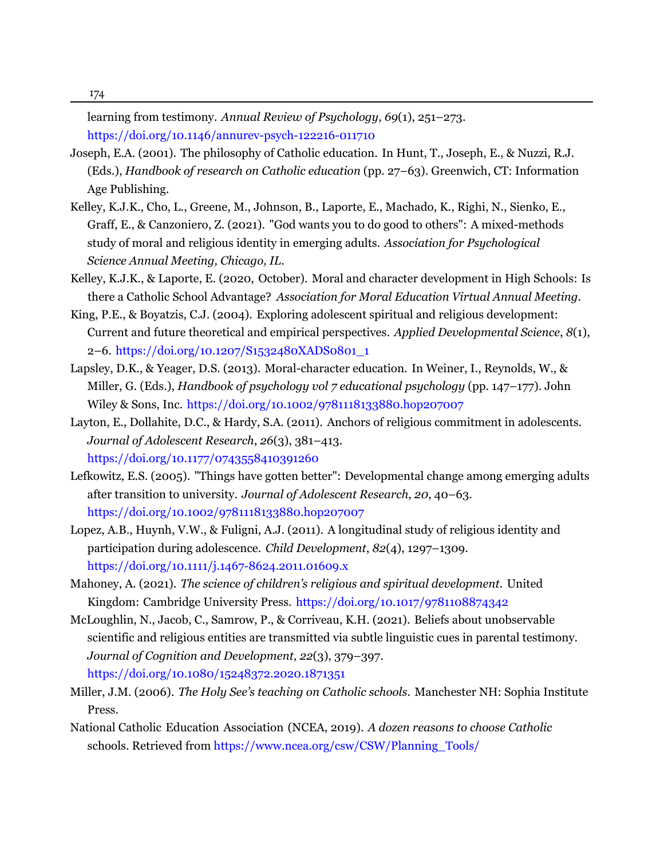learning from testimony. *Annual Review of Psychology*, *69*(1), 251–273. [https://doi.org/10.1146/annurev-psych-122216-011710](https://doi.org/doi.org/10.1146/annurev-psych-122216-011710)

- <span id="page-16-10"></span>Joseph, E.A. (2001). The philosophy of Catholic education. In Hunt, T., Joseph, E., & Nuzzi, R.J. (Eds.), *Handbook of research on Catholic education* (pp. 27–63). Greenwich, CT: Information Age Publishing.
- <span id="page-16-4"></span>Kelley, K.J.K., Cho, L., Greene, M., Johnson, B., Laporte, E., Machado, K., Righi, N., Sienko, E., Graff, E., & Canzoniero, Z. (2021). "God wants you to do good to others": A mixed-methods study of moral and religious identity in emerging adults. *Association for Psychological Science Annual Meeting, Chicago, IL*.
- <span id="page-16-11"></span>Kelley, K.J.K., & Laporte, E. (2020, October). Moral and character development in High Schools: Is there a Catholic School Advantage? *Association for Moral Education Virtual Annual Meeting*.
- <span id="page-16-6"></span>King, P.E., & Boyatzis, C.J. (2004). Exploring adolescent spiritual and religious development: Current and future theoretical and empirical perspectives. *Applied Developmental Science*, *8*(1), 2–6. [https://doi.org/10.1207/S1532480XADS0801\\_1](https://doi.org/doi.org/10.1207/S1532480XADS0801_1)
- <span id="page-16-9"></span>Lapsley, D.K., & Yeager, D.S. (2013). Moral-character education. In Weiner, I., Reynolds, W., & Miller, G. (Eds.), *Handbook of psychology vol 7 educational psychology* (pp. 147–177). John Wiley & Sons, Inc. [https://doi.org/10.1002/9781118133880.hop207007](https://doi.org/doi.org/10.1002/9781118133880.hop207007)
- <span id="page-16-1"></span>Layton, E., Dollahite, D.C., & Hardy, S.A. (2011). Anchors of religious commitment in adolescents. *Journal of Adolescent Research*, *26*(3), 381–413. [https://doi.org/10.1177/0743558410391260](https://doi.org/doi.org/10.1177/0743558410391260)
- <span id="page-16-7"></span>Lefkowitz, E.S. (2005). "Things have gotten better": Developmental change among emerging adults after transition to university. *Journal of Adolescent Research*, *20*, 40–63. [https://doi.org/10.1002/9781118133880.hop207007](https://doi.org/doi.org/10.1002/9781118133880.hop207007)
- <span id="page-16-3"></span>Lopez, A.B., Huynh, V.W., & Fuligni, A.J. (2011). A longitudinal study of religious identity and participation during adolescence. *Child Development*, *82*(4), 1297–1309. [https://doi.org/10.1111/j.1467-8624.2011.01609.x](https://doi.org/doi.org/10.1111/j.1467-8624.2011.01609.x)
- <span id="page-16-5"></span>Mahoney, A. (2021). *The science of children's religious and spiritual development*. United Kingdom: Cambridge University Press. https://doi.org/1[0.1017/9781108874342](https://doi.org/doi.org/10.1017/9781108874342)
- <span id="page-16-2"></span>McLoughlin, N., Jacob, C., Samrow, P., & Corriveau, K.H. (2021). Beliefs about unobservable scientific and religious entities are transmitted via subtle linguistic cues in parental testimony. *Journal of Cognition and Development*, *22*(3), 379–397. [https://doi.org/10.1080/15248372.2020.1871351](https://doi.org/doi.org/10.1080/15248372.2020.1871351)
- <span id="page-16-0"></span>Miller, J.M. (2006). *The Holy See's teaching on Catholic schools*. Manchester NH: Sophia Institute Press.
- <span id="page-16-8"></span>National Catholic Education Association (NCEA, 2019). *A dozen reasons to choose Catholic*  schools. Retrieved from [https://www.ncea.org/csw/CSW/Planning\\_Tools/](https://www.ncea.org/csw/CSW/Planning_Tools/)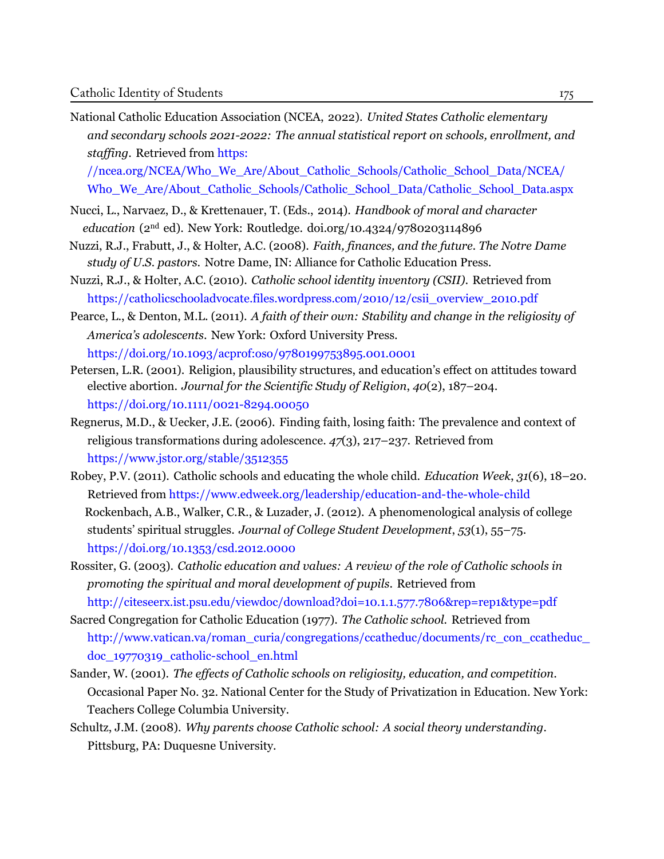<span id="page-17-0"></span>National Catholic Education Association (NCEA, 2022). *United States Catholic elementary and secondary schools 2021-2022: The annual statistical report on schools, enrollment, and staffing*. [Retrieved from](https://ncea.org/NCEA/Who_We_Are/About_Catholic_Schools/Catholic_School_Data/NCEA/Who_We_Are/About_Catholic_Schools/Catholic_School_Data/Catholic_School_Data.aspx) https:

[//ncea.org/NCEA/Who\\_We\\_Are/About\\_Catholic\\_Schools/Catholic\\_School\\_Data/NCEA/](https://ncea.org/NCEA/Who_We_Are/About_Catholic_Schools/Catholic_School_Data/NCEA/Who_We_Are/About_Catholic_Schools/Catholic_School_Data/Catholic_School_Data.aspx) [Who\\_We\\_Are/About\\_Catholic\\_Schools/Catholic\\_School\\_Data/Catholic\\_School\\_Data.aspx](https://ncea.org/NCEA/Who_We_Are/About_Catholic_Schools/Catholic_School_Data/NCEA/Who_We_Are/About_Catholic_Schools/Catholic_School_Data/Catholic_School_Data.aspx)

- <span id="page-17-11"></span>Nucci, L., Narvaez, D., & Krettenauer, T. (Eds., 2014). *Handbook of moral and character education* (2nd ed). New York: Routledge. [doi.org/10.4324/9780203114896](https://doi.org/doi.org/10.4324/9780203114896)
- <span id="page-17-2"></span>Nuzzi, R.J., Frabutt, J., & Holter, A.C. (2008). *Faith, finances, and the future. The Notre Dame study of U.S. pastors*. Notre Dame, IN: Alliance for Catholic Education Press.
- <span id="page-17-3"></span>Nuzzi, R.J., & Holter, A.C. (2010). *Catholic school identity inventory (CSII)*. [Retrieved](https://catholicschooladvocate.files.wordpress.com/2010/12/csii_overview_2010.pdf) from [https://catholicschooladvocate.files.wordpress.com/2010/12/csii\\_overview\\_2010.pdf](https://catholicschooladvocate.files.wordpress.com/2010/12/csii_overview_2010.pdf)
- <span id="page-17-9"></span>Pearce, L., & Denton, M.L. (2011). *A faith of their own: Stability and change in the religiosity of America's adolescents*. New York: Oxford University Press. [https://doi.org/10.1093/acprof:oso/9780199753895.001.0001](https://doi.org/doi.org/10.1093/acprof:oso/9780199753895.001.0001)
- <span id="page-17-6"></span>Petersen, L.R. (2001). Religion, plausibility structures, and education's effect on attitudes toward elective abortion. *Journal for the Scientific Study of Religion*, *40*(2), 187–204. [https://doi.org/10.1111/0021-8294.00050](https://doi.org/doi.org/10.1111/0021-8294.00050)
- <span id="page-17-7"></span>Regnerus, M.D., & Uecker, J.E. (2006). Finding faith, losing faith: The prevalence and context of religious transformations during adolescence. *47*(3), 217–237. [Retrieved](https://www.jstor.org/stable/3512355) from <https://www.jstor.org/stable/3512355>
- <span id="page-17-10"></span><span id="page-17-8"></span>Robey, P.V. (2011). Catholic schools and educating the whole child. *Education Week*, *31*(6), 18–20. Retrieved from <https://www.edweek.org/leadership/education-and-the-whole-child> Rockenbach, A.B., Walker, C.R., & Luzader, J. (2012). A phenomenological analysis of college students' spiritual struggles. *Journal of College Student Development*, *53*(1), 55–75. https://doi.org/[10.1353/csd.2012.0000](https://doi.org/doi.org/10.1353/csd.2012.0000)
- <span id="page-17-5"></span>Rossiter, G. (2003). *Catholic education and values: A review of the role of Catholic schools in promoting the spiritual and moral development of pupils*. [Retrieved from](http://citeseerx.ist.psu.edu/viewdoc/download?doi=10.1.1.577.7806&rep=rep1&type=pdf) <http://citeseerx.ist.psu.edu/viewdoc/download?doi=10.1.1.577.7806&rep=rep1&type=pdf>
- <span id="page-17-1"></span>Sacred Congregation for Catholic Education (1977). *The Catholic school.* [Retrieved](http://www.vatican.va/roman_curia/congregations/ccatheduc/documents/rc_con_ccatheduc_doc_19770319_catholic-school_en.html) from [http://www.vatican.va/roman\\_curia/congregations/ccatheduc/documents/rc\\_con\\_ccatheduc\\_](http://www.vatican.va/roman_curia/congregations/ccatheduc/documents/rc_con_ccatheduc_doc_19770319_catholic-school_en.html) [doc\\_19770319\\_catholic-school\\_en.html](http://www.vatican.va/roman_curia/congregations/ccatheduc/documents/rc_con_ccatheduc_doc_19770319_catholic-school_en.html)
- <span id="page-17-4"></span>Sander, W. (2001). *The effects of Catholic schools on religiosity, education, and competition*. Occasional Paper No. 32. National Center for the Study of Privatization in Education. New York: Teachers College Columbia University.
- <span id="page-17-12"></span>Schultz, J.M. (2008). *Why parents choose Catholic school: A social theory understanding.* Pittsburg, PA: Duquesne University.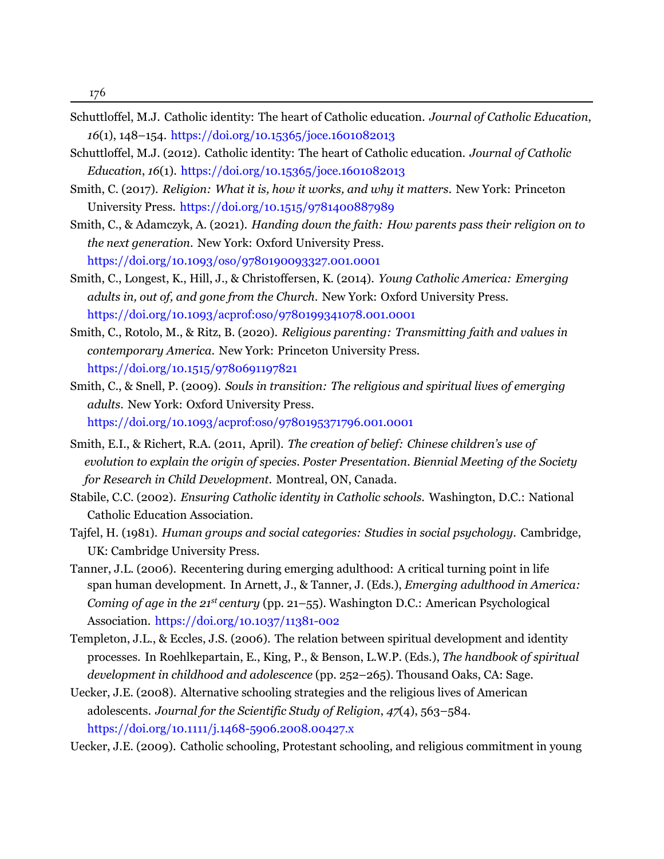- Schuttloffel, M.J. Catholic identity: The heart of Catholic education. *Journal of Catholic Education*, *16*(1), 148–154. [https://doi.org/10.15365/joce.1601082013](https://doi.org/doi.org/10.15365/joce.1601082013)
- <span id="page-18-0"></span>Schuttloffel, M.J. (2012). Catholic identity: The heart of Catholic education. *Journal of Catholic Education*, *16*(1). [https://doi.org/10.15365/joce.1601082013](https://doi.org/doi.org/10.15365/joce.1601082013)
- <span id="page-18-7"></span>Smith, C. (2017). *Religion: What it is, how it works, and why it matters*. New York: Princeton University Press. [https://doi.org/10.1515/9781400887989](https://doi.org/doi.org/10.1515/9781400887989)
- Smith, C., & Adamczyk, A. (2021). *Handing down the faith: How parents pass their religion on to the next generation*. New York: Oxford University Press. [https://doi.org/10.1093/oso/9780190093327.001.0001](https://doi.org/doi.org/10.1093/oso/9780190093327.001.0001)
- <span id="page-18-3"></span>Smith, C., Longest, K., Hill, J., & Christoffersen, K. (2014). *Young Catholic America: Emerging adults in, out of, and gone from the Church*. New York: Oxford University Press. [https://doi.org/10.1093/acprof:oso/9780199341078.001.0001](https://doi.org/doi.org/10.1093/acprof:oso/9780199341078.001.0001)
- <span id="page-18-10"></span>Smith, C., Rotolo, M., & Ritz, B. (2020). *Religious parenting: Transmitting faith and values in contemporary America*. New York: Princeton University Press. [https://doi.org/10.1515/9780691197821](https://doi.org/doi.org/10.1515/9780691197821)
- <span id="page-18-2"></span>Smith, C., & Snell, P. (2009). *Souls in transition: The religious and spiritual lives of emerging adults*. New York: Oxford University Press. [https://doi.org/10.1093/acprof:oso/9780195371796.001.0001](https://doi.org/doi.org/10.1093/acprof:oso/9780195371796.001.0001)
- Smith, E.I., & Richert, R.A. (2011, April). *The creation of belief: Chinese children's use of evolution to explain the origin of species. Poster Presentation. Biennial Meeting of the Society for Research in Child Development*. Montreal, ON, Canada.
- <span id="page-18-1"></span>Stabile, C.C. (2002). *Ensuring Catholic identity in Catholic schools*. Washington, D.C.: National Catholic Education Association.
- <span id="page-18-6"></span>Tajfel, H. (1981). *Human groups and social categories: Studies in social psychology*. Cambridge, UK: Cambridge University Press.
- <span id="page-18-9"></span>Tanner, J.L. (2006). Recentering during emerging adulthood: A critical turning point in life span human development. In Arnett, J., & Tanner, J. (Eds.), *Emerging adulthood in America: Coming of age in the 21st century* (pp. 21–55). Washington D.C.: American Psychological Association. [https://doi.org/10.1037/11381-002](https://doi.org/doi.org/10.1037/11381-002)
- <span id="page-18-8"></span>Templeton, J.L., & Eccles, J.S. (2006). The relation between spiritual development and identity processes. In Roehlkepartain, E., King, P., & Benson, L.W.P. (Eds.), *The handbook of spiritual development in childhood and adolescence* (pp. 252–265). Thousand Oaks, CA: Sage.
- <span id="page-18-5"></span>Uecker, J.E. (2008). Alternative schooling strategies and the religious lives of American adolescents. *Journal for the Scientific Study of Religion*, *47*(4), 563–584. [https://doi.org/10.1111/j.1468-5906.2008.00427.x](https://doi.org/doi.org/10.1111/j.1468-5906.2008.00427.x)
- <span id="page-18-4"></span>Uecker, J.E. (2009). Catholic schooling, Protestant schooling, and religious commitment in young